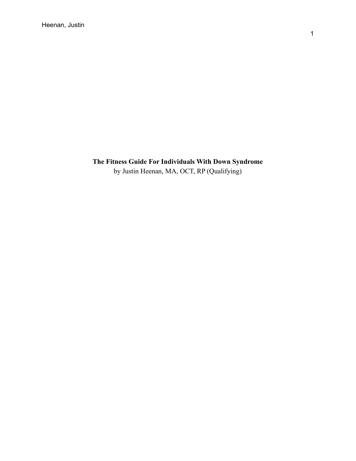# **The Fitness Guide For Individuals With Down Syndrome** by Justin Heenan, MA, OCT, RP (Qualifying)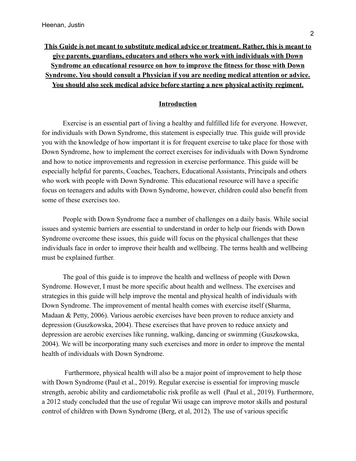# **This Guide is not meant to substitute medical advice or treatment. Rather, this is meant to give parents, guardians, educators and others who work with individuals with Down Syndrome an educational resource on how to improve the fitness for those with Down Syndrome. You should consult a Physician if you are needing medical attention or advice. You should also seek medical advice before starting a new physical activity regiment.**

#### **Introduction**

Exercise is an essential part of living a healthy and fulfilled life for everyone. However, for individuals with Down Syndrome, this statement is especially true. This guide will provide you with the knowledge of how important it is for frequent exercise to take place for those with Down Syndrome, how to implement the correct exercises for individuals with Down Syndrome and how to notice improvements and regression in exercise performance. This guide will be especially helpful for parents, Coaches, Teachers, Educational Assistants, Principals and others who work with people with Down Syndrome. This educational resource will have a specific focus on teenagers and adults with Down Syndrome, however, children could also benefit from some of these exercises too.

People with Down Syndrome face a number of challenges on a daily basis. While social issues and systemic barriers are essential to understand in order to help our friends with Down Syndrome overcome these issues, this guide will focus on the physical challenges that these individuals face in order to improve their health and wellbeing. The terms health and wellbeing must be explained further.

The goal of this guide is to improve the health and wellness of people with Down Syndrome. However, I must be more specific about health and wellness. The exercises and strategies in this guide will help improve the mental and physical health of individuals with Down Syndrome. The improvement of mental health comes with exercise itself (Sharma, Madaan & Petty, 2006). Various aerobic exercises have been proven to reduce anxiety and depression (Guszkowska, 2004). These exercises that have proven to reduce anxiety and depression are aerobic exercises like running, walking, dancing or swimming (Guszkowska, 2004). We will be incorporating many such exercises and more in order to improve the mental health of individuals with Down Syndrome.

Furthermore, physical health will also be a major point of improvement to help those with Down Syndrome (Paul et al., 2019). Regular exercise is essential for improving muscle strength, aerobic ability and cardiometabolic risk profile as well (Paul et al., 2019). Furthermore, a 2012 study concluded that the use of regular Wii usage can improve motor skills and postural control of children with Down Syndrome (Berg, et al, 2012). The use of various specific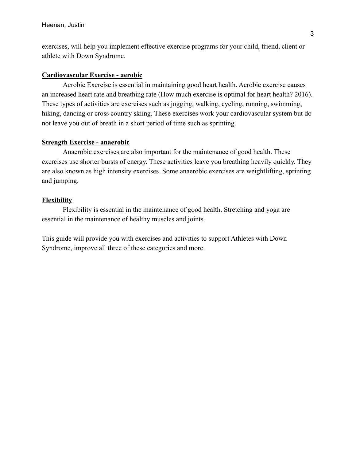exercises, will help you implement effective exercise programs for your child, friend, client or athlete with Down Syndrome.

#### **Cardiovascular Exercise - aerobic**

Aerobic Exercise is essential in maintaining good heart health. Aerobic exercise causes an increased heart rate and breathing rate (How much exercise is optimal for heart health? 2016). These types of activities are exercises such as jogging, walking, cycling, running, swimming, hiking, dancing or cross country skiing. These exercises work your cardiovascular system but do not leave you out of breath in a short period of time such as sprinting.

### **Strength Exercise - anaerobic**

Anaerobic exercises are also important for the maintenance of good health. These exercises use shorter bursts of energy. These activities leave you breathing heavily quickly. They are also known as high intensity exercises. Some anaerobic exercises are weightlifting, sprinting and jumping.

#### **Flexibility**

Flexibility is essential in the maintenance of good health. Stretching and yoga are essential in the maintenance of healthy muscles and joints.

This guide will provide you with exercises and activities to support Athletes with Down Syndrome, improve all three of these categories and more.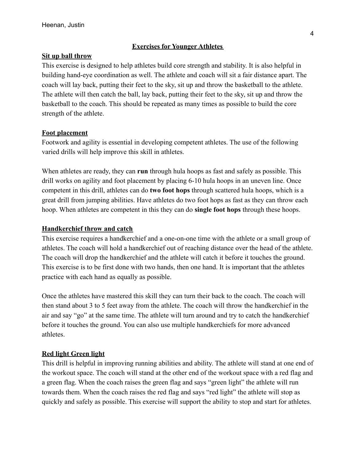### **Exercises for Younger Athletes**

### **Sit up ball throw**

This exercise is designed to help athletes build core strength and stability. It is also helpful in building hand-eye coordination as well. The athlete and coach will sit a fair distance apart. The coach will lay back, putting their feet to the sky, sit up and throw the basketball to the athlete. The athlete will then catch the ball, lay back, putting their feet to the sky, sit up and throw the basketball to the coach. This should be repeated as many times as possible to build the core strength of the athlete.

### **Foot placement**

Footwork and agility is essential in developing competent athletes. The use of the following varied drills will help improve this skill in athletes.

When athletes are ready, they can **run** through hula hoops as fast and safely as possible. This drill works on agility and foot placement by placing 6-10 hula hoops in an uneven line. Once competent in this drill, athletes can do **two foot hops** through scattered hula hoops, which is a great drill from jumping abilities. Have athletes do two foot hops as fast as they can throw each hoop. When athletes are competent in this they can do **single foot hops** through these hoops.

### **Handkerchief throw and catch**

This exercise requires a handkerchief and a one-on-one time with the athlete or a small group of athletes. The coach will hold a handkerchief out of reaching distance over the head of the athlete. The coach will drop the handkerchief and the athlete will catch it before it touches the ground. This exercise is to be first done with two hands, then one hand. It is important that the athletes practice with each hand as equally as possible.

Once the athletes have mastered this skill they can turn their back to the coach. The coach will then stand about 3 to 5 feet away from the athlete. The coach will throw the handkerchief in the air and say "go" at the same time. The athlete will turn around and try to catch the handkerchief before it touches the ground. You can also use multiple handkerchiefs for more advanced athletes.

### **Red light Green light**

This drill is helpful in improving running abilities and ability. The athlete will stand at one end of the workout space. The coach will stand at the other end of the workout space with a red flag and a green flag. When the coach raises the green flag and says "green light" the athlete will run towards them. When the coach raises the red flag and says "red light" the athlete will stop as quickly and safely as possible. This exercise will support the ability to stop and start for athletes.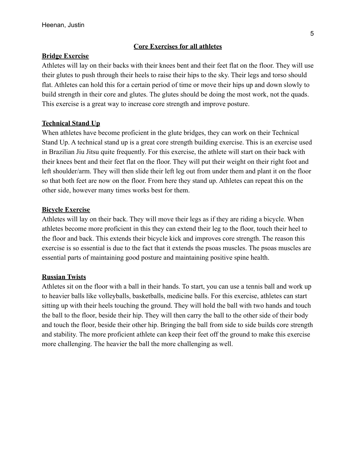### **Core Exercises for all athletes**

### **Bridge Exercise**

Athletes will lay on their backs with their knees bent and their feet flat on the floor. They will use their glutes to push through their heels to raise their hips to the sky. Their legs and torso should flat. Athletes can hold this for a certain period of time or move their hips up and down slowly to build strength in their core and glutes. The glutes should be doing the most work, not the quads. This exercise is a great way to increase core strength and improve posture.

### **Technical Stand Up**

When athletes have become proficient in the glute bridges, they can work on their Technical Stand Up. A technical stand up is a great core strength building exercise. This is an exercise used in Brazilian Jiu Jitsu quite frequently. For this exercise, the athlete will start on their back with their knees bent and their feet flat on the floor. They will put their weight on their right foot and left shoulder/arm. They will then slide their left leg out from under them and plant it on the floor so that both feet are now on the floor. From here they stand up. Athletes can repeat this on the other side, however many times works best for them.

### **Bicycle Exercise**

Athletes will lay on their back. They will move their legs as if they are riding a bicycle. When athletes become more proficient in this they can extend their leg to the floor, touch their heel to the floor and back. This extends their bicycle kick and improves core strength. The reason this exercise is so essential is due to the fact that it extends the psoas muscles. The psoas muscles are essential parts of maintaining good posture and maintaining positive spine health.

### **Russian Twists**

Athletes sit on the floor with a ball in their hands. To start, you can use a tennis ball and work up to heavier balls like volleyballs, basketballs, medicine balls. For this exercise, athletes can start sitting up with their heels touching the ground. They will hold the ball with two hands and touch the ball to the floor, beside their hip. They will then carry the ball to the other side of their body and touch the floor, beside their other hip. Bringing the ball from side to side builds core strength and stability. The more proficient athlete can keep their feet off the ground to make this exercise more challenging. The heavier the ball the more challenging as well.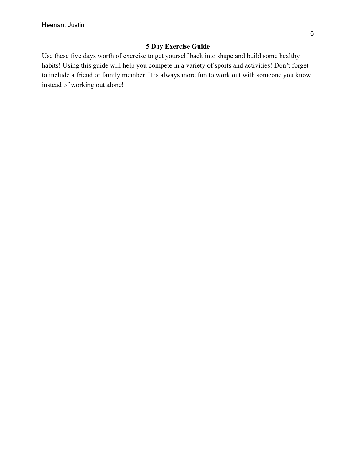## **5 Day Exercise Guide**

Use these five days worth of exercise to get yourself back into shape and build some healthy habits! Using this guide will help you compete in a variety of sports and activities! Don't forget to include a friend or family member. It is always more fun to work out with someone you know instead of working out alone!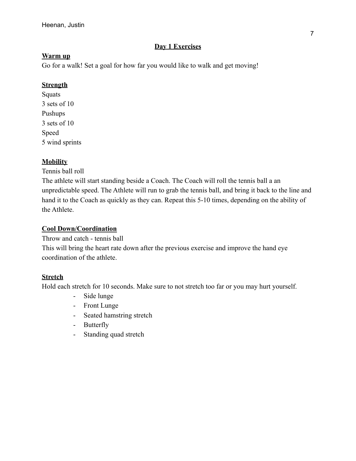### **Day 1 Exercises**

### **Warm up**

Go for a walk! Set a goal for how far you would like to walk and get moving!

## **Strength**

Squats 3 sets of 10 Pushups 3 sets of 10 Speed 5 wind sprints

## **Mobility**

Tennis ball roll

The athlete will start standing beside a Coach. The Coach will roll the tennis ball a an unpredictable speed. The Athlete will run to grab the tennis ball, and bring it back to the line and hand it to the Coach as quickly as they can. Repeat this 5-10 times, depending on the ability of the Athlete.

## **Cool Down/Coordination**

Throw and catch - tennis ball

This will bring the heart rate down after the previous exercise and improve the hand eye coordination of the athlete.

# **Stretch**

- Side lunge
- Front Lunge
- Seated hamstring stretch
- Butterfly
- Standing quad stretch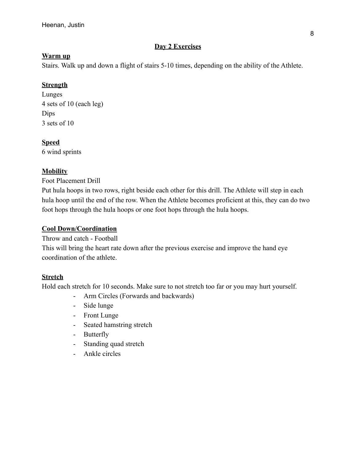### **Day 2 Exercises**

### **Warm up**

Stairs. Walk up and down a flight of stairs 5-10 times, depending on the ability of the Athlete.

# **Strength**

Lunges 4 sets of 10 (each leg) Dips 3 sets of 10

## **Speed**

6 wind sprints

## **Mobility**

Foot Placement Drill

Put hula hoops in two rows, right beside each other for this drill. The Athlete will step in each hula hoop until the end of the row. When the Athlete becomes proficient at this, they can do two foot hops through the hula hoops or one foot hops through the hula hoops.

## **Cool Down/Coordination**

Throw and catch - Football This will bring the heart rate down after the previous exercise and improve the hand eye coordination of the athlete.

# **Stretch**

- Arm Circles (Forwards and backwards)
- Side lunge
- Front Lunge
- Seated hamstring stretch
- Butterfly
- Standing quad stretch
- Ankle circles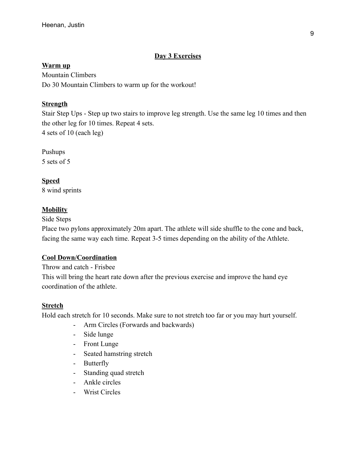## **Day 3 Exercises**

### **Warm up**

Mountain Climbers Do 30 Mountain Climbers to warm up for the workout!

## **Strength**

Stair Step Ups - Step up two stairs to improve leg strength. Use the same leg 10 times and then the other leg for 10 times. Repeat 4 sets. 4 sets of 10 (each leg)

Pushups 5 sets of 5

**Speed** 8 wind sprints

## **Mobility**

Side Steps

Place two pylons approximately 20m apart. The athlete will side shuffle to the cone and back, facing the same way each time. Repeat 3-5 times depending on the ability of the Athlete.

# **Cool Down/Coordination**

Throw and catch - Frisbee

This will bring the heart rate down after the previous exercise and improve the hand eye coordination of the athlete.

# **Stretch**

- Arm Circles (Forwards and backwards)
- Side lunge
- Front Lunge
- Seated hamstring stretch
- Butterfly
- Standing quad stretch
- Ankle circles
- Wrist Circles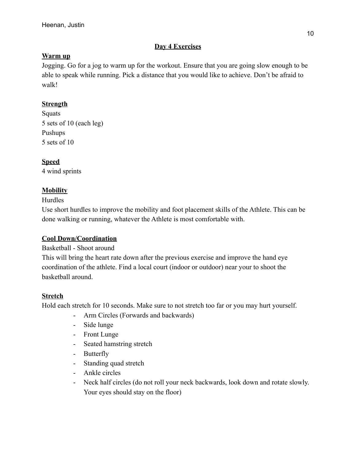### **Day 4 Exercises**

### **Warm up**

Jogging. Go for a jog to warm up for the workout. Ensure that you are going slow enough to be able to speak while running. Pick a distance that you would like to achieve. Don't be afraid to walk!

## **Strength**

**Squats** 5 sets of 10 (each leg) Pushups 5 sets of 10

## **Speed**

4 wind sprints

## **Mobility**

### Hurdles

Use short hurdles to improve the mobility and foot placement skills of the Athlete. This can be done walking or running, whatever the Athlete is most comfortable with.

### **Cool Down/Coordination**

### Basketball - Shoot around

This will bring the heart rate down after the previous exercise and improve the hand eye coordination of the athlete. Find a local court (indoor or outdoor) near your to shoot the basketball around.

### **Stretch**

- Arm Circles (Forwards and backwards)
- Side lunge
- Front Lunge
- Seated hamstring stretch
- Butterfly
- Standing quad stretch
- Ankle circles
- Neck half circles (do not roll your neck backwards, look down and rotate slowly. Your eyes should stay on the floor)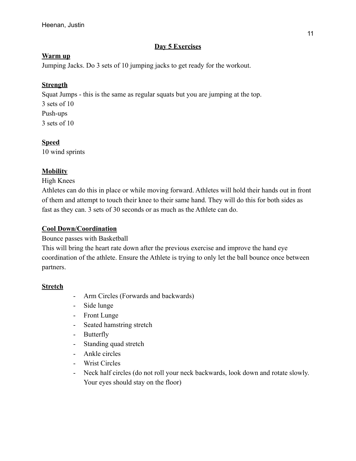### **Day 5 Exercises**

### **Warm up**

Jumping Jacks. Do 3 sets of 10 jumping jacks to get ready for the workout.

## **Strength**

Squat Jumps - this is the same as regular squats but you are jumping at the top. 3 sets of 10 Push-ups 3 sets of 10

## **Speed**

10 wind sprints

## **Mobility**

High Knees

Athletes can do this in place or while moving forward. Athletes will hold their hands out in front of them and attempt to touch their knee to their same hand. They will do this for both sides as fast as they can. 3 sets of 30 seconds or as much as the Athlete can do.

## **Cool Down/Coordination**

### Bounce passes with Basketball

This will bring the heart rate down after the previous exercise and improve the hand eye coordination of the athlete. Ensure the Athlete is trying to only let the ball bounce once between partners.

### **Stretch**

- Arm Circles (Forwards and backwards)
- Side lunge
- Front Lunge
- Seated hamstring stretch
- Butterfly
- Standing quad stretch
- Ankle circles
- Wrist Circles
- Neck half circles (do not roll your neck backwards, look down and rotate slowly. Your eyes should stay on the floor)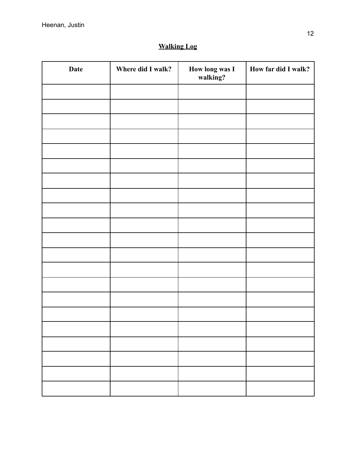# **Walking Log**

| Date | Where did I walk? | How long was I<br>walking? | How far did I walk? |
|------|-------------------|----------------------------|---------------------|
|      |                   |                            |                     |
|      |                   |                            |                     |
|      |                   |                            |                     |
|      |                   |                            |                     |
|      |                   |                            |                     |
|      |                   |                            |                     |
|      |                   |                            |                     |
|      |                   |                            |                     |
|      |                   |                            |                     |
|      |                   |                            |                     |
|      |                   |                            |                     |
|      |                   |                            |                     |
|      |                   |                            |                     |
|      |                   |                            |                     |
|      |                   |                            |                     |
|      |                   |                            |                     |
|      |                   |                            |                     |
|      |                   |                            |                     |
|      |                   |                            |                     |
|      |                   |                            |                     |
|      |                   |                            |                     |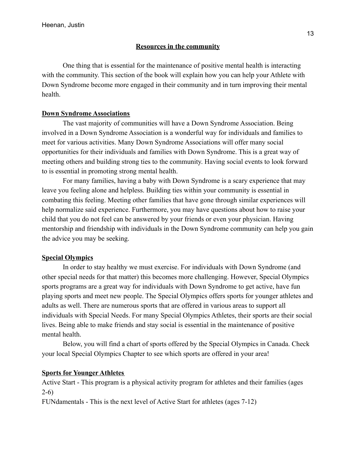### **Resources in the community**

One thing that is essential for the maintenance of positive mental health is interacting with the community. This section of the book will explain how you can help your Athlete with Down Syndrome become more engaged in their community and in turn improving their mental health.

### **Down Syndrome Associations**

The vast majority of communities will have a Down Syndrome Association. Being involved in a Down Syndrome Association is a wonderful way for individuals and families to meet for various activities. Many Down Syndrome Associations will offer many social opportunities for their individuals and families with Down Syndrome. This is a great way of meeting others and building strong ties to the community. Having social events to look forward to is essential in promoting strong mental health.

For many families, having a baby with Down Syndrome is a scary experience that may leave you feeling alone and helpless. Building ties within your community is essential in combating this feeling. Meeting other families that have gone through similar experiences will help normalize said experience. Furthermore, you may have questions about how to raise your child that you do not feel can be answered by your friends or even your physician. Having mentorship and friendship with individuals in the Down Syndrome community can help you gain the advice you may be seeking.

### **Special Olympics**

In order to stay healthy we must exercise. For individuals with Down Syndrome (and other special needs for that matter) this becomes more challenging. However, Special Olympics sports programs are a great way for individuals with Down Syndrome to get active, have fun playing sports and meet new people. The Special Olympics offers sports for younger athletes and adults as well. There are numerous sports that are offered in various areas to support all individuals with Special Needs. For many Special Olympics Athletes, their sports are their social lives. Being able to make friends and stay social is essential in the maintenance of positive mental health.

Below, you will find a chart of sports offered by the Special Olympics in Canada. Check your local Special Olympics Chapter to see which sports are offered in your area!

### **Sports for Younger Athletes**

Active Start - This program is a physical activity program for athletes and their families (ages 2-6)

FUNdamentals - This is the next level of Active Start for athletes (ages 7-12)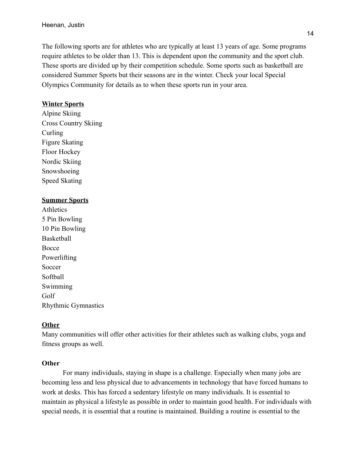The following sports are for athletes who are typically at least 13 years of age. Some programs require athletes to be older than 13. This is dependent upon the community and the sport club. These sports are divided up by their competition schedule. Some sports such as basketball are considered Summer Sports but their seasons are in the winter. Check your local Special Olympics Community for details as to when these sports run in your area.

#### **Winter Sports**

Alpine Skiing Cross Country Skiing Curling Figure Skating Floor Hockey Nordic Skiing Snowshoeing Speed Skating

#### **Summer Sports**

**Athletics** 5 Pin Bowling 10 Pin Bowling Basketball Bocce Powerlifting Soccer Softball Swimming Golf Rhythmic Gymnastics

### **Other**

Many communities will offer other activities for their athletes such as walking clubs, yoga and fitness groups as well.

#### **Other**

For many individuals, staying in shape is a challenge. Especially when many jobs are becoming less and less physical due to advancements in technology that have forced humans to work at desks. This has forced a sedentary lifestyle on many individuals. It is essential to maintain as physical a lifestyle as possible in order to maintain good health. For individuals with special needs, it is essential that a routine is maintained. Building a routine is essential to the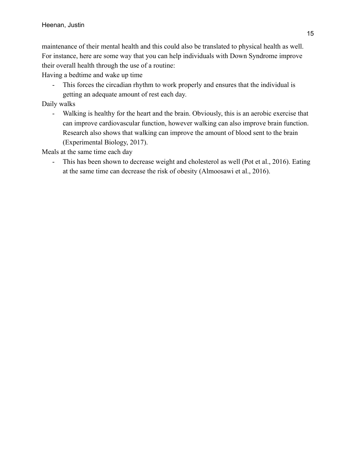maintenance of their mental health and this could also be translated to physical health as well. For instance, here are some way that you can help individuals with Down Syndrome improve their overall health through the use of a routine:

Having a bedtime and wake up time

- This forces the circadian rhythm to work properly and ensures that the individual is getting an adequate amount of rest each day.

Daily walks

- Walking is healthy for the heart and the brain. Obviously, this is an aerobic exercise that can improve cardiovascular function, however walking can also improve brain function. Research also shows that walking can improve the amount of blood sent to the brain (Experimental Biology, 2017).

Meals at the same time each day

- This has been shown to decrease weight and cholesterol as well (Pot et al., 2016). Eating at the same time can decrease the risk of obesity (Almoosawi et al., 2016).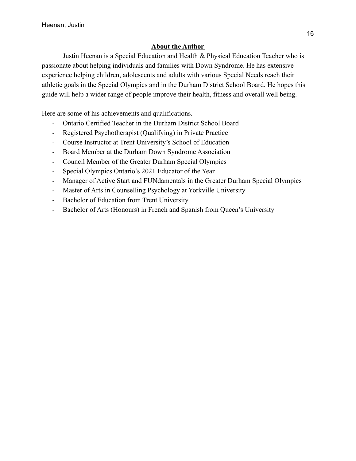### **About the Author**

Justin Heenan is a Special Education and Health & Physical Education Teacher who is passionate about helping individuals and families with Down Syndrome. He has extensive experience helping children, adolescents and adults with various Special Needs reach their athletic goals in the Special Olympics and in the Durham District School Board. He hopes this guide will help a wider range of people improve their health, fitness and overall well being.

Here are some of his achievements and qualifications.

- Ontario Certified Teacher in the Durham District School Board
- Registered Psychotherapist (Qualifying) in Private Practice
- Course Instructor at Trent University's School of Education
- Board Member at the Durham Down Syndrome Association
- Council Member of the Greater Durham Special Olympics
- Special Olympics Ontario's 2021 Educator of the Year
- Manager of Active Start and FUNdamentals in the Greater Durham Special Olympics
- Master of Arts in Counselling Psychology at Yorkville University
- Bachelor of Education from Trent University
- Bachelor of Arts (Honours) in French and Spanish from Queen's University